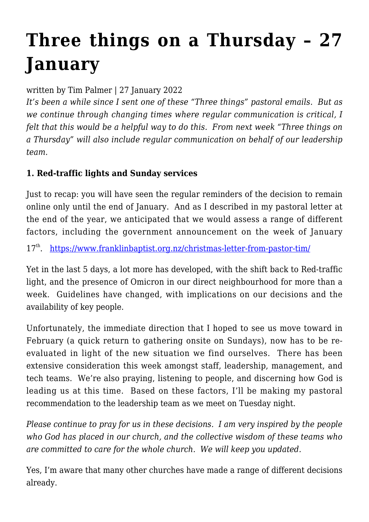## **[Three things on a Thursday – 27](https://www.franklinbaptist.org.nz/three-things-on-a-thursday-27-january/) [January](https://www.franklinbaptist.org.nz/three-things-on-a-thursday-27-january/)**

written by Tim Palmer | 27 January 2022

*It's been a while since I sent one of these "Three things" pastoral emails. But as we continue through changing times where regular communication is critical, I felt that this would be a helpful way to do this. From next week "Three things on a Thursday" will also include regular communication on behalf of our leadership team.*

## **1. Red-traffic lights and Sunday services**

Just to recap: you will have seen the regular reminders of the decision to remain online only until the end of January. And as I described in my pastoral letter at the end of the year, we anticipated that we would assess a range of different factors, including the government announcement on the week of January

17<sup>th</sup>. <https://www.franklinbaptist.org.nz/christmas-letter-from-pastor-tim/>

Yet in the last 5 days, a lot more has developed, with the shift back to Red-traffic light, and the presence of Omicron in our direct neighbourhood for more than a week. Guidelines have changed, with implications on our decisions and the availability of key people.

Unfortunately, the immediate direction that I hoped to see us move toward in February (a quick return to gathering onsite on Sundays), now has to be reevaluated in light of the new situation we find ourselves. There has been extensive consideration this week amongst staff, leadership, management, and tech teams. We're also praying, listening to people, and discerning how God is leading us at this time. Based on these factors, I'll be making my pastoral recommendation to the leadership team as we meet on Tuesday night.

*Please continue to pray for us in these decisions. I am very inspired by the people who God has placed in our church, and the collective wisdom of these teams who are committed to care for the whole church. We will keep you updated.*

Yes, I'm aware that many other churches have made a range of different decisions already.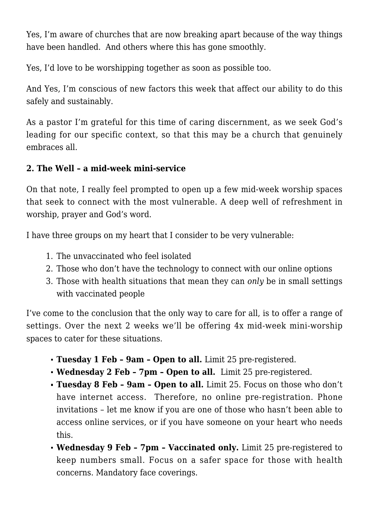Yes, I'm aware of churches that are now breaking apart because of the way things have been handled. And others where this has gone smoothly.

Yes, I'd love to be worshipping together as soon as possible too.

And Yes, I'm conscious of new factors this week that affect our ability to do this safely and sustainably.

As a pastor I'm grateful for this time of caring discernment, as we seek God's leading for our specific context, so that this may be a church that genuinely embraces all.

## **2. The Well – a mid-week mini-service**

On that note, I really feel prompted to open up a few mid-week worship spaces that seek to connect with the most vulnerable. A deep well of refreshment in worship, prayer and God's word.

I have three groups on my heart that I consider to be very vulnerable:

- 1. The unvaccinated who feel isolated
- 2. Those who don't have the technology to connect with our online options
- 3. Those with health situations that mean they can *only* be in small settings with vaccinated people

I've come to the conclusion that the only way to care for all, is to offer a range of settings. Over the next 2 weeks we'll be offering 4x mid-week mini-worship spaces to cater for these situations.

- **Tuesday 1 Feb 9am Open to all.** Limit 25 pre-registered.
- **Wednesday 2 Feb 7pm Open to all.** Limit 25 pre-registered.
- **Tuesday 8 Feb 9am Open to all.** Limit 25. Focus on those who don't have internet access. Therefore, no online pre-registration. Phone invitations – let me know if you are one of those who hasn't been able to access online services, or if you have someone on your heart who needs this.
- **Wednesday 9 Feb 7pm Vaccinated only.** Limit 25 pre-registered to keep numbers small. Focus on a safer space for those with health concerns. Mandatory face coverings.